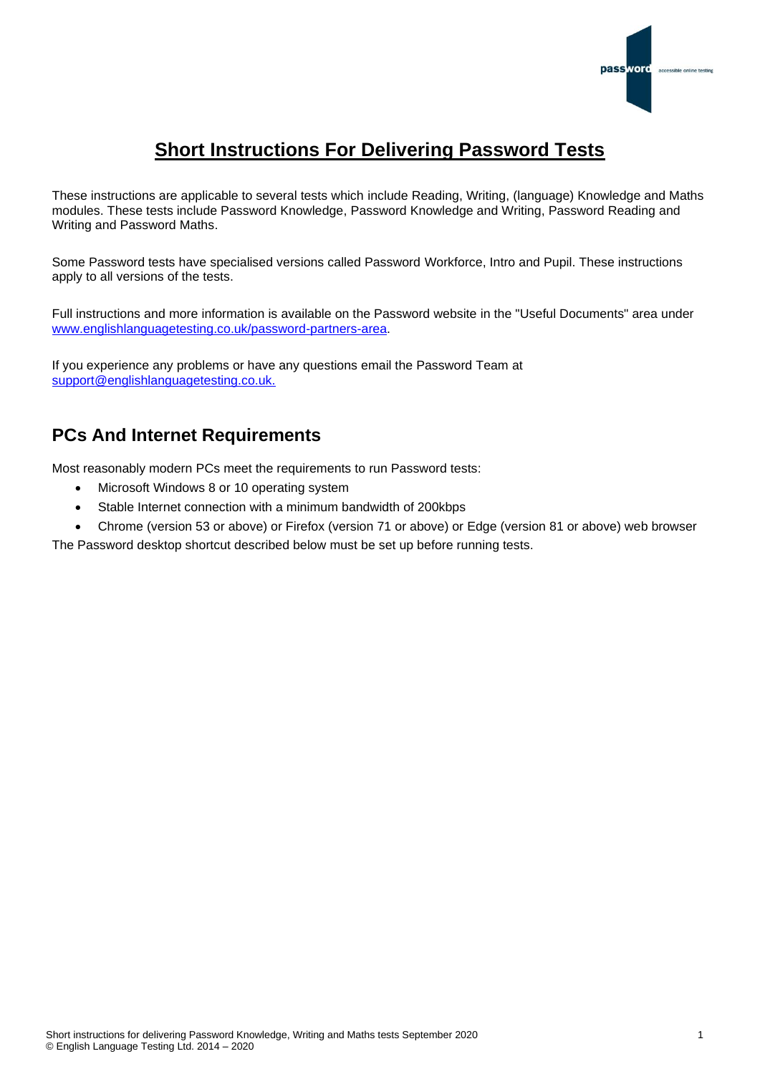

# **Short Instructions For Delivering Password Tests**

These instructions are applicable to several tests which include Reading, Writing, (language) Knowledge and Maths modules. These tests include Password Knowledge, Password Knowledge and Writing, Password Reading and Writing and Password Maths.

Some Password tests have specialised versions called Password Workforce, Intro and Pupil. These instructions apply to all versions of the tests.

Full instructions and more information is available on the Password website in the "Useful Documents" area under [www.englishlanguagetesting.co.uk/password-partners-area.](https://www.englishlanguagetesting.co.uk/password-partners-area/)

If you experience any problems or have any questions email the Password Team at [support@englishlanguagetesting.co.uk.](mailto:support@englishlanguagetesting.co.uk)

## **PCs And Internet Requirements**

Most reasonably modern PCs meet the requirements to run Password tests:

- Microsoft Windows 8 or 10 operating system
- Stable Internet connection with a minimum bandwidth of 200kbps
- Chrome (version 53 or above) or Firefox (version 71 or above) or Edge (version 81 or above) web browser

The Password desktop shortcut described below must be set up before running tests.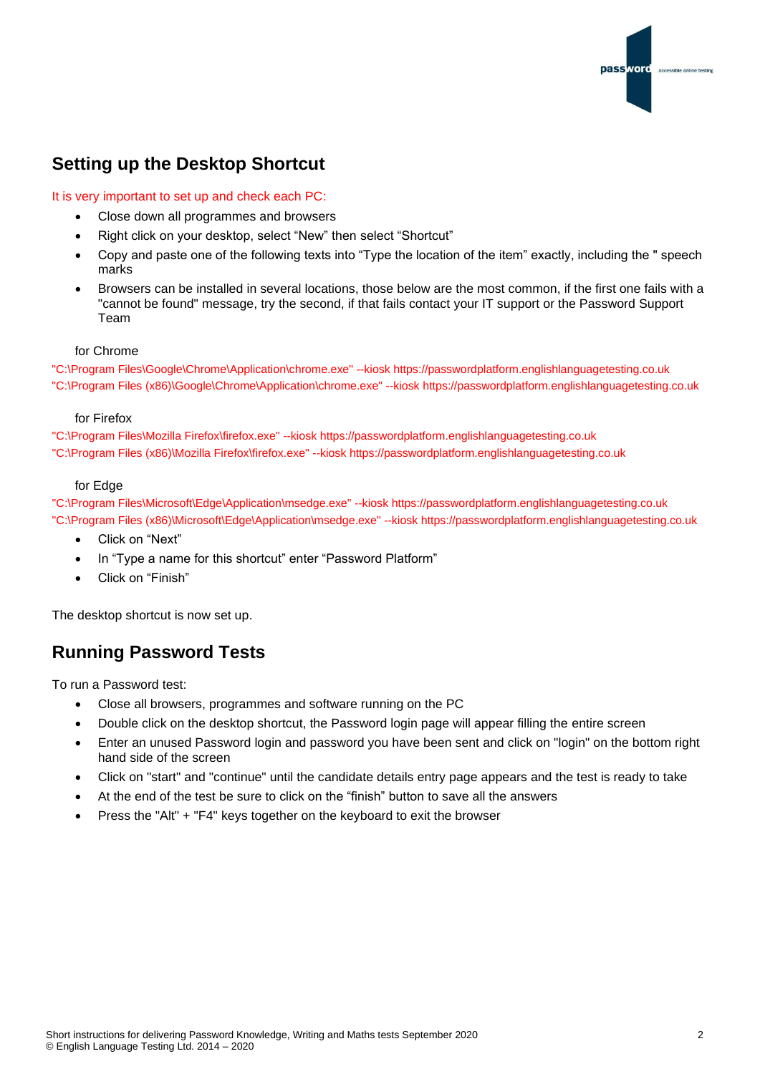

### **Setting up the Desktop Shortcut**

#### It is very important to set up and check each PC:

- Close down all programmes and browsers
- Right click on your desktop, select "New" then select "Shortcut"
- Copy and paste one of the following texts into "Type the location of the item" exactly, including the " speech marks
- Browsers can be installed in several locations, those below are the most common, if the first one fails with a "cannot be found" message, try the second, if that fails contact your IT support or the Password Support Team

#### for Chrome

"C:\Program Files\Google\Chrome\Application\chrome.exe" --kiosk https://passwordplatform.englishlanguagetesting.co.uk "C:\Program Files (x86)\Google\Chrome\Application\chrome.exe" --kiosk https://passwordplatform.englishlanguagetesting.co.uk

#### for Firefox

"C:\Program Files\Mozilla Firefox\firefox.exe" --kiosk https://passwordplatform.englishlanguagetesting.co.uk "C:\Program Files (x86)\Mozilla Firefox\firefox.exe" --kiosk https://passwordplatform.englishlanguagetesting.co.uk

#### for Edge

"C:\Program Files\Microsoft\Edge\Application\msedge.exe" --kiosk https://passwordplatform.englishlanguagetesting.co.uk "C:\Program Files (x86)\Microsoft\Edge\Application\msedge.exe" --kiosk https://passwordplatform.englishlanguagetesting.co.uk

- Click on "Next"
- In "Type a name for this shortcut" enter "Password Platform"
- Click on "Finish"

The desktop shortcut is now set up.

### **Running Password Tests**

To run a Password test:

- Close all browsers, programmes and software running on the PC
- Double click on the desktop shortcut, the Password login page will appear filling the entire screen
- Enter an unused Password login and password you have been sent and click on "login" on the bottom right hand side of the screen
- Click on "start" and "continue" until the candidate details entry page appears and the test is ready to take
- At the end of the test be sure to click on the "finish" button to save all the answers
- Press the "Alt" + "F4" keys together on the keyboard to exit the browser